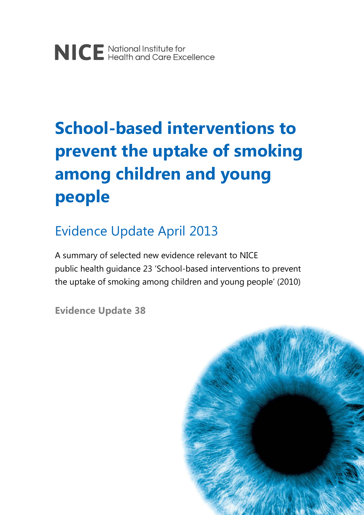# **School-based interventions to prevent the uptake of smoking among children and young people**

# Evidence Update April 2013

A summary of selected new evidence relevant to NICE public health guidance 23 'School-based interventions to prevent the uptake of smoking among children and young people' (2010)

**Evidence Update 38**

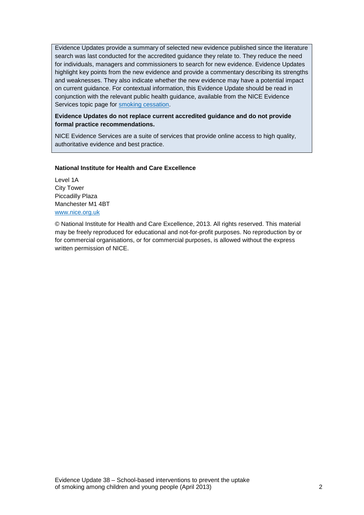Evidence Updates provide a summary of selected new evidence published since the literature search was last conducted for the accredited guidance they relate to. They reduce the need for individuals, managers and commissioners to search for new evidence. Evidence Updates highlight key points from the new evidence and provide a commentary describing its strengths and weaknesses. They also indicate whether the new evidence may have a potential impact on current guidance. For contextual information, this Evidence Update should be read in conjunction with the relevant public health guidance, available from the NICE Evidence Services topic page for [smoking cessation.](http://www.evidence.nhs.uk/topic/smoking-cessation)

**Evidence Updates do not replace current accredited guidance and do not provide formal practice recommendations.** 

NICE Evidence Services are a suite of services that provide online access to high quality, authoritative evidence and best practice.

#### **National Institute for Health and Care Excellence**

Level 1A City Tower Piccadilly Plaza Manchester M1 4BT [www.nice.org.uk](http://www.nice.org.uk/)

© National Institute for Health and Care Excellence, 2013. All rights reserved. This material may be freely reproduced for educational and not-for-profit purposes. No reproduction by or for commercial organisations, or for commercial purposes, is allowed without the express written permission of NICE.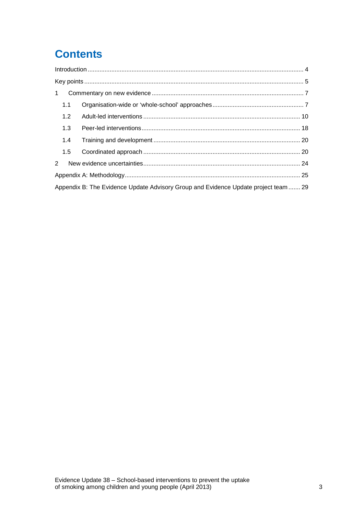# **Contents**

| $\mathbf{1}$   |                                                                                     |  |
|----------------|-------------------------------------------------------------------------------------|--|
| 1.1            |                                                                                     |  |
| 1.2            |                                                                                     |  |
| 1.3            |                                                                                     |  |
| 1.4            |                                                                                     |  |
| 1.5            |                                                                                     |  |
| $\overline{2}$ |                                                                                     |  |
|                |                                                                                     |  |
|                | Appendix B: The Evidence Update Advisory Group and Evidence Update project team  29 |  |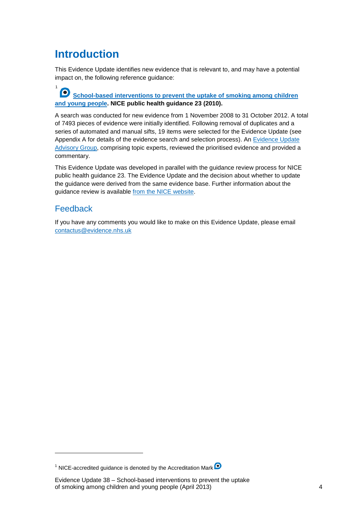# <span id="page-3-0"></span>**Introduction**

[1](#page-3-1)

This Evidence Update identifies new evidence that is relevant to, and may have a potential impact on, the following reference guidance:

**School-based interventions to prevent the uptake of smoking among children [and young people](http://guidance.nice.org.uk/PH23) . NICE public health guidance 23 (2010).** 

A search was conducted for new evidence from 1 November 2008 to 31 October 2012. A total of 7493 pieces of evidence were initially identified. Following removal of duplicates and a series of automated and manual sifts, 19 items were selected for the Evidence Update (see Appendix A for details of the evidence search and selection process). An <u>Evidence Update</u> Advisory Group, comprising topic experts, reviewed the prioritised evidence and provided a commentary.

This Evidence Update was developed in parallel with the guidance review process for NICE public health guidance 23. The Evidence Update and the decision about whether to update the guidance were derived from the same evidence base. Further information about the guidance review is available [from the NICE website.](http://www.nice.org.uk/PH23)

### Feedback

If you have any comments you would like to make on this Evidence Update, please email [contactus@evidence.nhs.uk](mailto:contactus@evidence.nhs.uk)

<span id="page-3-1"></span><sup>&</sup>lt;sup>1</sup> NICE-accredited guidance is denoted by the Accreditation Mark <sup>O</sup>

Evidence Update 38 – School-based interventions to prevent the uptake of smoking among children and young people (April 2013) 4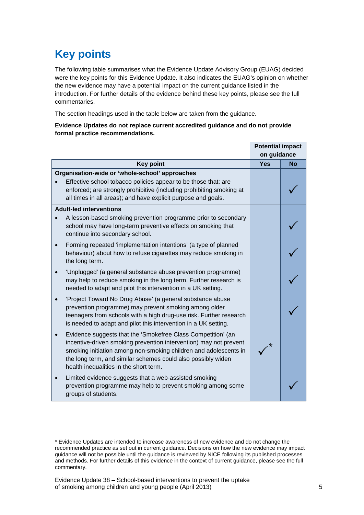# <span id="page-4-0"></span>**Key points**

-

The following table summarises what the Evidence Update Advisory Group (EUAG) decided were the key points for this Evidence Update. It also indicates the EUAG's opinion on whether the new evidence may have a potential impact on the current guidance listed in the introduction. For further details of the evidence behind these key points, please see the full commentaries.

The section headings used in the table below are taken from the guidance.

#### **Evidence Updates do not replace current accredited guidance and do not provide formal practice recommendations.**

|                                                                                                                                                                                                                                                                                                                 |             | <b>Potential impact</b> |  |  |
|-----------------------------------------------------------------------------------------------------------------------------------------------------------------------------------------------------------------------------------------------------------------------------------------------------------------|-------------|-------------------------|--|--|
|                                                                                                                                                                                                                                                                                                                 | on guidance |                         |  |  |
| <b>Key point</b>                                                                                                                                                                                                                                                                                                | Yes         | <b>No</b>               |  |  |
| Organisation-wide or 'whole-school' approaches                                                                                                                                                                                                                                                                  |             |                         |  |  |
| Effective school tobacco policies appear to be those that: are<br>enforced; are strongly prohibitive (including prohibiting smoking at<br>all times in all areas); and have explicit purpose and goals.                                                                                                         |             |                         |  |  |
| <b>Adult-led interventions</b>                                                                                                                                                                                                                                                                                  |             |                         |  |  |
| A lesson-based smoking prevention programme prior to secondary<br>school may have long-term preventive effects on smoking that<br>continue into secondary school.                                                                                                                                               |             |                         |  |  |
| Forming repeated 'implementation intentions' (a type of planned<br>behaviour) about how to refuse cigarettes may reduce smoking in<br>the long term.                                                                                                                                                            |             |                         |  |  |
| 'Unplugged' (a general substance abuse prevention programme)<br>may help to reduce smoking in the long term. Further research is<br>needed to adapt and pilot this intervention in a UK setting.                                                                                                                |             |                         |  |  |
| 'Project Toward No Drug Abuse' (a general substance abuse<br>prevention programme) may prevent smoking among older<br>teenagers from schools with a high drug-use risk. Further research<br>is needed to adapt and pilot this intervention in a UK setting.                                                     |             |                         |  |  |
| Evidence suggests that the 'Smokefree Class Competition' (an<br>incentive-driven smoking prevention intervention) may not prevent<br>smoking initiation among non-smoking children and adolescents in<br>the long term, and similar schemes could also possibly widen<br>health inequalities in the short term. |             |                         |  |  |
| Limited evidence suggests that a web-assisted smoking<br>prevention programme may help to prevent smoking among some<br>groups of students.                                                                                                                                                                     |             |                         |  |  |

<span id="page-4-1"></span><sup>\*</sup> Evidence Updates are intended to increase awareness of new evidence and do not change the recommended practice as set out in current guidance. Decisions on how the new evidence may impact guidance will not be possible until the guidance is reviewed by NICE following its published processes and methods. For further details of this evidence in the context of current guidance, please see the full commentary.

Evidence Update 38 – School-based interventions to prevent the uptake of smoking among children and young people (April 2013) 5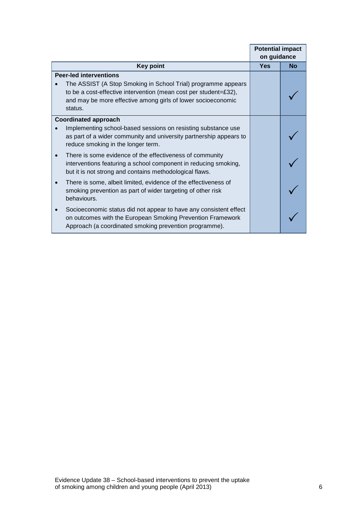|                                                                                                                                                                                                              | <b>Potential impact</b> |           |
|--------------------------------------------------------------------------------------------------------------------------------------------------------------------------------------------------------------|-------------------------|-----------|
|                                                                                                                                                                                                              | on guidance             |           |
| <b>Key point</b>                                                                                                                                                                                             | <b>Yes</b>              | <b>No</b> |
| <b>Peer-led interventions</b>                                                                                                                                                                                |                         |           |
| The ASSIST (A Stop Smoking in School Trial) programme appears<br>to be a cost-effective intervention (mean cost per student=£32),<br>and may be more effective among girls of lower socioeconomic<br>status. |                         |           |
| <b>Coordinated approach</b>                                                                                                                                                                                  |                         |           |
| Implementing school-based sessions on resisting substance use<br>as part of a wider community and university partnership appears to<br>reduce smoking in the longer term.                                    |                         |           |
| There is some evidence of the effectiveness of community<br>interventions featuring a school component in reducing smoking,<br>but it is not strong and contains methodological flaws.                       |                         |           |
| There is some, albeit limited, evidence of the effectiveness of<br>smoking prevention as part of wider targeting of other risk<br>behaviours.                                                                |                         |           |
| Socioeconomic status did not appear to have any consistent effect<br>on outcomes with the European Smoking Prevention Framework<br>Approach (a coordinated smoking prevention programme).                    |                         |           |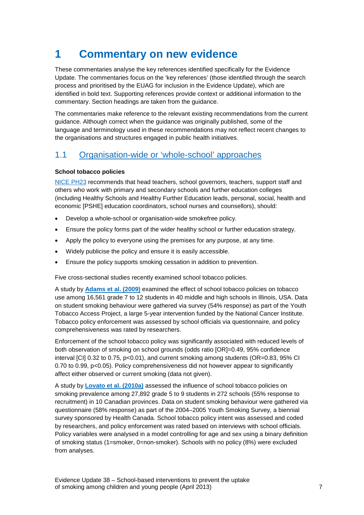# <span id="page-6-0"></span>**1 Commentary on new evidence**

These commentaries analyse the key references identified specifically for the Evidence Update. The commentaries focus on the 'key references' (those identified through the search process and prioritised by the EUAG for inclusion in the Evidence Update), which are identified in bold text. Supporting references provide context or additional information to the commentary. Section headings are taken from the guidance.

The commentaries make reference to the relevant existing recommendations from the current guidance. Although correct when the guidance was originally published, some of the language and terminology used in these recommendations may not reflect recent changes to the organisations and structures engaged in public health initiatives.

## <span id="page-6-1"></span>1.1 [Organisation-wide or 'whole-school' approaches](http://publications.nice.org.uk/school-based-interventions-to-prevent-smoking-ph23/recommendations#recommendation-1-organisation-wide-or-whole-school-approaches)

#### **School tobacco policies**

[NICE PH23](http://guidance.nice.org.uk/PH23) recommends that head teachers, school governors, teachers, support staff and others who work with primary and secondary schools and further education colleges (including Healthy Schools and Healthy Further Education leads, personal, social, health and economic [PSHE] education coordinators, school nurses and counsellors), should:

- Develop a whole-school or organisation-wide smokefree policy.
- Ensure the policy forms part of the wider healthy school or further education strategy.
- Apply the policy to everyone using the premises for any purpose, at any time.
- Widely publicise the policy and ensure it is easily accessible.
- Ensure the policy supports smoking cessation in addition to prevention.

Five cross-sectional studies recently examined school tobacco policies.

A study by **[Adams et al. \(2009\)](http://onlinelibrary.wiley.com/doi/10.1111/j.1746-1561.2008.00369.x/abstract)** examined the effect of school tobacco policies on tobacco use among 16,561 grade 7 to 12 students in 40 middle and high schools in Illinois, USA. Data on student smoking behaviour were gathered via survey (54% response) as part of the Youth Tobacco Access Project, a large 5-year intervention funded by the National Cancer Institute. Tobacco policy enforcement was assessed by school officials via questionnaire, and policy comprehensiveness was rated by researchers.

Enforcement of the school tobacco policy was significantly associated with reduced levels of both observation of smoking on school grounds (odds ratio [OR]=0.49, 95% confidence interval [CI] 0.32 to 0.75, p<0.01), and current smoking among students (OR=0.83, 95% CI 0.70 to 0.99, p<0.05). Policy comprehensiveness did not however appear to significantly affect either observed or current smoking (data not given).

A study by **[Lovato et al. \(2010a\)](http://www.cdc.gov/pcd/issues/2010/nov/09_0199.htm)** assessed the influence of school tobacco policies on smoking prevalence among 27,892 grade 5 to 9 students in 272 schools (55% response to recruitment) in 10 Canadian provinces. Data on student smoking behaviour were gathered via questionnaire (58% response) as part of the 2004–2005 Youth Smoking Survey, a biennial survey sponsored by Health Canada. School tobacco policy intent was assessed and coded by researchers, and policy enforcement was rated based on interviews with school officials. Policy variables were analysed in a model controlling for age and sex using a binary definition of smoking status (1=smoker, 0=non-smoker). Schools with no policy (8%) were excluded from analyses.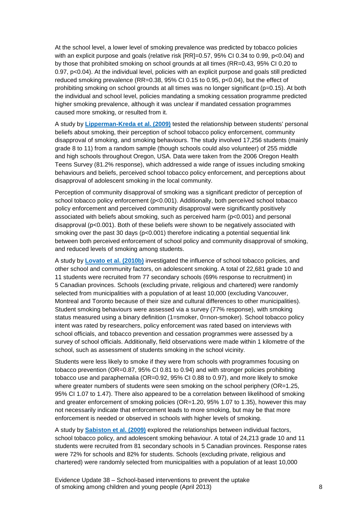At the school level, a lower level of smoking prevalence was predicted by tobacco policies with an explicit purpose and goals (relative risk [RR]=0.57, 95% CI 0.34 to 0.99, p<0.04) and by those that prohibited smoking on school grounds at all times (RR=0.43, 95% CI 0.20 to 0.97, p<0.04). At the individual level, policies with an explicit purpose and goals still predicted reduced smoking prevalence (RR=0.38, 95% CI 0.15 to 0.95, p<0.04), but the effect of prohibiting smoking on school grounds at all times was no longer significant (p=0.15). At both the individual and school level, policies mandating a smoking cessation programme predicted higher smoking prevalence, although it was unclear if mandated cessation programmes caused more smoking, or resulted from it.

A study by **[Lipperman-Kreda et al. \(2009\)](http://ntr.oxfordjournals.org/content/11/5/531.short)** tested the relationship between students' personal beliefs about smoking, their perception of school tobacco policy enforcement, community disapproval of smoking, and smoking behaviours. The study involved 17,256 students (mainly grade 8 to 11) from a random sample (though schools could also volunteer) of 255 middle and high schools throughout Oregon, USA. Data were taken from the 2006 Oregon Health Teens Survey (81.2% response), which addressed a wide range of issues including smoking behaviours and beliefs, perceived school tobacco policy enforcement, and perceptions about disapproval of adolescent smoking in the local community.

Perception of community disapproval of smoking was a significant predictor of perception of school tobacco policy enforcement (p<0.001). Additionally, both perceived school tobacco policy enforcement and perceived community disapproval were significantly positively associated with beliefs about smoking, such as perceived harm (p<0.001) and personal disapproval (p<0.001). Both of these beliefs were shown to be negatively associated with smoking over the past 30 days (p<0.001) therefore indicating a potential sequential link between both perceived enforcement of school policy and community disapproval of smoking, and reduced levels of smoking among students.

A study by **[Lovato et al. \(2010b\)](http://www.sciencedirect.com/science/article/pii/S0749379710005106)** investigated the influence of school tobacco policies, and other school and community factors, on adolescent smoking. A total of 22,681 grade 10 and 11 students were recruited from 77 secondary schools (69% response to recruitment) in 5 Canadian provinces. Schools (excluding private, religious and chartered) were randomly selected from municipalities with a population of at least 10,000 (excluding Vancouver, Montreal and Toronto because of their size and cultural differences to other municipalities). Student smoking behaviours were assessed via a survey (77% response), with smoking status measured using a binary definition (1=smoker, 0=non-smoker). School tobacco policy intent was rated by researchers, policy enforcement was rated based on interviews with school officials, and tobacco prevention and cessation programmes were assessed by a survey of school officials. Additionally, field observations were made within 1 kilometre of the school, such as assessment of students smoking in the school vicinity.

Students were less likely to smoke if they were from schools with programmes focusing on tobacco prevention (OR=0.87, 95% CI 0.81 to 0.94) and with stronger policies prohibiting tobacco use and paraphernalia (OR=0.92, 95% CI 0.88 to 0.97), and more likely to smoke where greater numbers of students were seen smoking on the school periphery (OR=1.25, 95% CI 1.07 to 1.47). There also appeared to be a correlation between likelihood of smoking and greater enforcement of smoking policies (OR=1.20, 95% 1.07 to 1.35), however this may not necessarily indicate that enforcement leads to more smoking, but may be that more enforcement is needed or observed in schools with higher levels of smoking.

A study by **[Sabiston et al. \(2009\)](http://rd.springer.com/article/10.1007/s10964-009-9422-z/fulltext.html)** explored the relationships between individual factors, school tobacco policy, and adolescent smoking behaviour. A total of 24,213 grade 10 and 11 students were recruited from 81 secondary schools in 5 Canadian provinces. Response rates were 72% for schools and 82% for students. Schools (excluding private, religious and chartered) were randomly selected from municipalities with a population of at least 10,000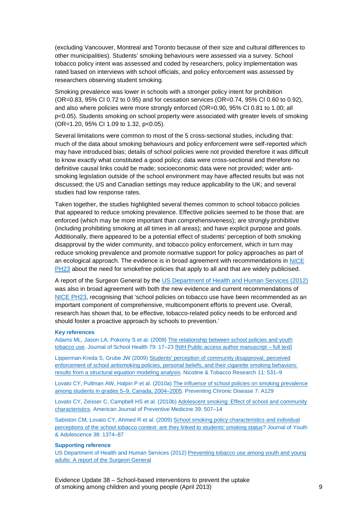(excluding Vancouver, Montreal and Toronto because of their size and cultural differences to other municipalities). Students' smoking behaviours were assessed via a survey. School tobacco policy intent was assessed and coded by researchers, policy implementation was rated based on interviews with school officials, and policy enforcement was assessed by researchers observing student smoking.

Smoking prevalence was lower in schools with a stronger policy intent for prohibition (OR=0.83, 95% CI 0.72 to 0.95) and for cessation services (OR=0.74, 95% CI 0.60 to 0.92), and also where policies were more strongly enforced (OR=0.90, 95% CI 0.81 to 1.00; all p<0.05). Students smoking on school property were associated with greater levels of smoking (OR=1.20, 95% CI 1.09 to 1.32, p<0.05).

Several limitations were common to most of the 5 cross-sectional studies, including that: much of the data about smoking behaviours and policy enforcement were self-reported which may have introduced bias; details of school policies were not provided therefore it was difficult to know exactly what constituted a good policy; data were cross-sectional and therefore no definitive causal links could be made; socioeconomic data were not provided; wider antismoking legislation outside of the school environment may have affected results but was not discussed; the US and Canadian settings may reduce applicability to the UK; and several studies had low response rates.

Taken together, the studies highlighted several themes common to school tobacco policies that appeared to reduce smoking prevalence. Effective policies seemed to be those that: are enforced (which may be more important than comprehensiveness); are strongly prohibitive (including prohibiting smoking at all times in all areas); and have explicit purpose and goals. Additionally, there appeared to be a potential effect of students' perception of both smoking disapproval by the wider community, and tobacco policy enforcement, which in turn may reduce smoking prevalence and promote normative support for policy approaches as part of an ecological approach. The evidence is in broad agreement with recommendations in [NICE](http://guidance.nice.org.uk/PH23)  [PH23](http://guidance.nice.org.uk/PH23) about the need for smokefree policies that apply to all and that are widely publicised.

A report of the Surgeon General by the [US Department of Health and Human Services \(2012\)](http://www.surgeongeneral.gov/library/reports/preventing-youth-tobacco-use/index.html) was also in broad agreement with both the new evidence and current recommendations of [NICE PH23,](http://guidance.nice.org.uk/PH23) recognising that 'school policies on tobacco use have been recommended as an important component of comprehensive, multicomponent efforts to prevent use. Overall, research has shown that, to be effective, tobacco-related policy needs to be enforced and should foster a proactive approach by schools to prevention.'

#### **Key references**

Adams ML, Jason LA, Pokorny S et al. (2009) [The relationship between school policies and youth](http://onlinelibrary.wiley.com/doi/10.1111/j.1746-1561.2008.00369.x/abstract)  [tobacco use.](http://onlinelibrary.wiley.com/doi/10.1111/j.1746-1561.2008.00369.x/abstract) Journal of School Health 79: 17–23 [\[NIH Public access author manuscript –](http://www.ncbi.nlm.nih.gov/pmc/articles/PMC2826219/) full text]

Lipperman-Kreda S, Grube JW (2009[\) Students' perception of community disapproval, perceived](http://ntr.oxfordjournals.org/content/11/5/531.short)  [enforcement of school antismoking policies, personal beliefs, and their cigarette smoking behaviors:](http://ntr.oxfordjournals.org/content/11/5/531.short)  [results from a structural equation modeling analysis.](http://ntr.oxfordjournals.org/content/11/5/531.short) Nicotine & Tobacco Research 11: 531–9

Lovato CY, Pullman AW, Halpin P et al. (2010a[\) The influence of school policies on smoking prevalence](http://www.cdc.gov/pcd/issues/2010/nov/09_0199.htm)  [among students in grades 5–9, Canada, 2004–2005.](http://www.cdc.gov/pcd/issues/2010/nov/09_0199.htm) Preventing Chronic Disease 7: A129

Lovato CY, Zeisser C, Campbell HS et al. (2010b[\) Adolescent smoking: Effect of school and community](http://www.sciencedirect.com/science/article/pii/S0749379710005106)  [characteristics.](http://www.sciencedirect.com/science/article/pii/S0749379710005106) American Journal of Preventive Medicine 39: 507–14

Sabiston CM, Lovato CY, Ahmed R et al. (2009) [School smoking policy characteristics and individual](http://rd.springer.com/article/10.1007/s10964-009-9422-z/fulltext.html)  perceptions of the school tobacco [context: are they linked to students' smoking status?](http://rd.springer.com/article/10.1007/s10964-009-9422-z/fulltext.html) Journal of Youth & Adolescence 38: 1374–87

#### **Supporting reference**

US Department of Health and Human Services (2012[\) Preventing tobacco use among youth and young](http://www.surgeongeneral.gov/library/reports/preventing-youth-tobacco-use/index.html)  [adults: A report of the Surgeon General](http://www.surgeongeneral.gov/library/reports/preventing-youth-tobacco-use/index.html)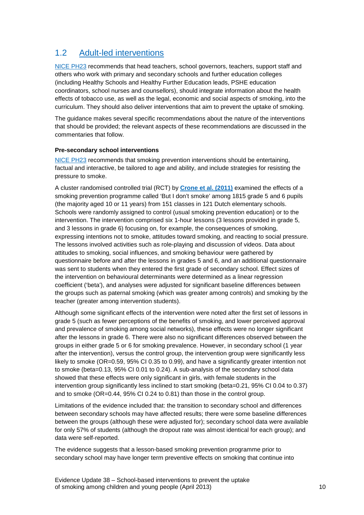# <span id="page-9-0"></span>1.2 [Adult-led interventions](http://publications.nice.org.uk/school-based-interventions-to-prevent-smoking-ph23/recommendations#recommendation-2-adult-led-interventions)

[NICE PH23](http://guidance.nice.org.uk/PH23) recommends that head teachers, school governors, teachers, support staff and others who work with primary and secondary schools and further education colleges (including Healthy Schools and Healthy Further Education leads, PSHE education coordinators, school nurses and counsellors), should integrate information about the health effects of tobacco use, as well as the legal, economic and social aspects of smoking, into the curriculum. They should also deliver interventions that aim to prevent the uptake of smoking.

The guidance makes several specific recommendations about the nature of the interventions that should be provided; the relevant aspects of these recommendations are discussed in the commentaries that follow.

#### **Pre-secondary school interventions**

[NICE PH23](http://guidance.nice.org.uk/PH23) recommends that smoking prevention interventions should be entertaining, factual and interactive, be tailored to age and ability, and include strategies for resisting the pressure to smoke.

A cluster randomised controlled trial (RCT) by **[Crone et al. \(2011\)](http://www.sciencedirect.com/science/article/pii/S0091743510004378)** examined the effects of a smoking prevention programme called 'But I don't smoke' among 1815 grade 5 and 6 pupils (the majority aged 10 or 11 years) from 151 classes in 121 Dutch elementary schools. Schools were randomly assigned to control (usual smoking prevention education) or to the intervention. The intervention comprised six 1-hour lessons (3 lessons provided in grade 5, and 3 lessons in grade 6) focusing on, for example, the consequences of smoking, expressing intentions not to smoke, attitudes toward smoking, and reacting to social pressure. The lessons involved activities such as role-playing and discussion of videos. Data about attitudes to smoking, social influences, and smoking behaviour were gathered by questionnaire before and after the lessons in grades 5 and 6, and an additional questionnaire was sent to students when they entered the first grade of secondary school. Effect sizes of the intervention on behavioural determinants were determined as a linear regression coefficient ('beta'), and analyses were adjusted for significant baseline differences between the groups such as paternal smoking (which was greater among controls) and smoking by the teacher (greater among intervention students).

Although some significant effects of the intervention were noted after the first set of lessons in grade 5 (such as fewer perceptions of the benefits of smoking, and lower perceived approval and prevalence of smoking among social networks), these effects were no longer significant after the lessons in grade 6. There were also no significant differences observed between the groups in either grade 5 or 6 for smoking prevalence. However, in secondary school (1 year after the intervention), versus the control group, the intervention group were significantly less likely to smoke (OR=0.59, 95% CI 0.35 to 0.99), and have a significantly greater intention not to smoke (beta=0.13, 95% CI 0.01 to 0.24). A sub-analysis of the secondary school data showed that these effects were only significant in girls, with female students in the intervention group significantly less inclined to start smoking (beta=0.21, 95% CI 0.04 to 0.37) and to smoke (OR=0.44, 95% CI 0.24 to 0.81) than those in the control group.

Limitations of the evidence included that: the transition to secondary school and differences between secondary schools may have affected results; there were some baseline differences between the groups (although these were adjusted for); secondary school data were available for only 57% of students (although the dropout rate was almost identical for each group); and data were self-reported.

The evidence suggests that a lesson-based smoking prevention programme prior to secondary school may have longer term preventive effects on smoking that continue into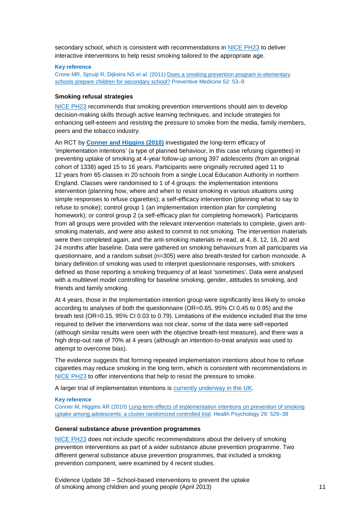secondary school, which is consistent with recommendations in [NICE PH23](http://guidance.nice.org.uk/PH23) to deliver interactive interventions to help resist smoking tailored to the appropriate age.

#### **Key reference**

Crone MR, Spruijt R, Dijkstra NS et al. (2011[\) Does a smoking prevention program in elementary](http://www.sciencedirect.com/science/article/pii/S0091743510004378)  [schools prepare children for secondary school?](http://www.sciencedirect.com/science/article/pii/S0091743510004378) Preventive Medicine 52: 53–9

#### **Smoking refusal strategies**

[NICE PH23](http://guidance.nice.org.uk/PH23) recommends that smoking prevention interventions should aim to develop decision-making skills through active learning techniques, and include strategies for enhancing self-esteem and resisting the pressure to smoke from the media, family members, peers and the tobacco industry.

An RCT by **[Conner and Higgins \(2010\)](http://psycnet.apa.org/journals/hea/29/5/529/)** investigated the long-term efficacy of 'implementation intentions' (a type of planned behaviour, in this case refusing cigarettes) in preventing uptake of smoking at 4-year follow-up among 397 adolescents (from an original cohort of 1338) aged 15 to 16 years. Participants were originally recruited aged 11 to 12 years from 65 classes in 20 schools from a single Local Education Authority in northern England. Classes were randomised to 1 of 4 groups: the implementation intentions intervention (planning how, where and when to resist smoking in various situations using simple responses to refuse cigarettes); a self-efficacy intervention (planning what to say to refuse to smoke); control group 1 (an implementation intention plan for completing homework); or control group 2 (a self-efficacy plan for completing homework). Participants from all groups were provided with the relevant intervention materials to complete, given antismoking materials, and were also asked to commit to not smoking. The intervention materials were then completed again, and the anti-smoking materials re-read, at 4, 8, 12, 16, 20 and 24 months after baseline. Data were gathered on smoking behaviours from all participants via questionnaire, and a random subset (n=305) were also breath-tested for carbon monoxide. A binary definition of smoking was used to interpret questionnaire responses, with smokers defined as those reporting a smoking frequency of at least 'sometimes'. Data were analysed with a multilevel model controlling for baseline smoking, gender, attitudes to smoking, and friends and family smoking.

At 4 years, those in the implementation intention group were significantly less likely to smoke according to analyses of both the questionnaire (OR=0.65, 95% CI 0.45 to 0.95) and the breath test (OR=0.15, 95% CI 0.03 to 0.79). Limitations of the evidence included that the time required to deliver the interventions was not clear, some of the data were self-reported (although similar results were seen with the objective breath-test measure), and there was a high drop-out rate of 70% at 4 years (although an intention-to-treat analysis was used to attempt to overcome bias).

The evidence suggests that forming repeated implementation intentions about how to refuse cigarettes may reduce smoking in the long term, which is consistent with recommendations in [NICE PH23](http://guidance.nice.org.uk/PH23) to offer interventions that help to resist the pressure to smoke.

A larger trial of implementation intentions is [currently underway in the UK.](http://www.controlled-trials.com/ISRCTN27596806/)

#### **Key reference**

Conner M, Higgins AR (2010[\) Long-term effects of implementation intentions on prevention of smoking](http://psycnet.apa.org/journals/hea/29/5/529/)  [uptake among adolescents: a cluster randomized controlled trial.](http://psycnet.apa.org/journals/hea/29/5/529/) Health Psychology 29: 529–38

#### **General substance abuse prevention programmes**

[NICE PH23](http://guidance.nice.org.uk/PH23) does not include specific recommendations about the delivery of smoking prevention interventions as part of a wider substance abuse prevention programme. Two different general substance abuse prevention programmes, that included a smoking prevention component, were examined by 4 recent studies.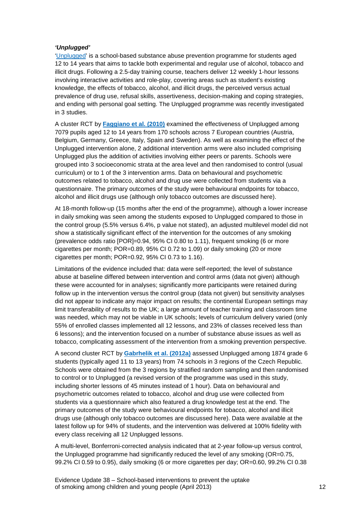#### *'Unplugged'*

['Unplugged'](http://www.eudap.net/Home.aspx) is a school-based substance abuse prevention programme for students aged 12 to 14 years that aims to tackle both experimental and regular use of alcohol, tobacco and illicit drugs. Following a 2.5-day training course, teachers deliver 12 weekly 1-hour lessons involving interactive activities and role-play, covering areas such as student's existing knowledge, the effects of tobacco, alcohol, and illicit drugs, the perceived versus actual prevalence of drug use, refusal skills, assertiveness, decision-making and coping strategies, and ending with personal goal setting. The Unplugged programme was recently investigated in 3 studies.

A cluster RCT by **[Faggiano et al. \(2010\)](http://www.sciencedirect.com/science/article/pii/S0376871609004384)** examined the effectiveness of Unplugged among 7079 pupils aged 12 to 14 years from 170 schools across 7 European countries (Austria, Belgium, Germany, Greece, Italy, Spain and Sweden). As well as examining the effect of the Unplugged intervention alone, 2 additional intervention arms were also included comprising Unplugged plus the addition of activities involving either peers or parents. Schools were grouped into 3 socioeconomic strata at the area level and then randomised to control (usual curriculum) or to 1 of the 3 intervention arms. Data on behavioural and psychometric outcomes related to tobacco, alcohol and drug use were collected from students via a questionnaire. The primary outcomes of the study were behavioural endpoints for tobacco, alcohol and illicit drugs use (although only tobacco outcomes are discussed here).

At 18-month follow-up (15 months after the end of the programme), although a lower increase in daily smoking was seen among the students exposed to Unplugged compared to those in the control group (5.5% versus 6.4%, p value not stated), an adjusted multilevel model did not show a statistically significant effect of the intervention for the outcomes of any smoking (prevalence odds ratio [POR]=0.94, 95% CI 0.80 to 1.11), frequent smoking (6 or more cigarettes per month; POR=0.89, 95% CI 0.72 to 1.09) or daily smoking (20 or more cigarettes per month; POR=0.92, 95% CI 0.73 to 1.16).

Limitations of the evidence included that: data were self-reported; the level of substance abuse at baseline differed between intervention and control arms (data not given) although these were accounted for in analyses; significantly more participants were retained during follow up in the intervention versus the control group (data not given) but sensitivity analyses did not appear to indicate any major impact on results; the continental European settings may limit transferability of results to the UK; a large amount of teacher training and classroom time was needed, which may not be viable in UK schools; levels of curriculum delivery varied (only 55% of enrolled classes implemented all 12 lessons, and 23% of classes received less than 6 lessons); and the intervention focused on a number of substance abuse issues as well as tobacco, complicating assessment of the intervention from a smoking prevention perspective.

A second cluster RCT by **[Gabrhelik et al. \(2012a\)](http://www.sciencedirect.com/science/article/pii/S0376871611005436)** assessed Unplugged among 1874 grade 6 students (typically aged 11 to 13 years) from 74 schools in 3 regions of the Czech Republic. Schools were obtained from the 3 regions by stratified random sampling and then randomised to control or to Unplugged (a revised version of the programme was used in this study, including shorter lessons of 45 minutes instead of 1 hour). Data on behavioural and psychometric outcomes related to tobacco, alcohol and drug use were collected from students via a questionnaire which also featured a drug knowledge test at the end. The primary outcomes of the study were behavioural endpoints for tobacco, alcohol and illicit drugs use (although only tobacco outcomes are discussed here). Data were available at the latest follow up for 94% of students, and the intervention was delivered at 100% fidelity with every class receiving all 12 Unplugged lessons.

A multi-level, Bonferroni-corrected analysis indicated that at 2-year follow-up versus control, the Unplugged programme had significantly reduced the level of any smoking (OR=0.75, 99.2% CI 0.59 to 0.95), daily smoking (6 or more cigarettes per day; OR=0.60, 99.2% CI 0.38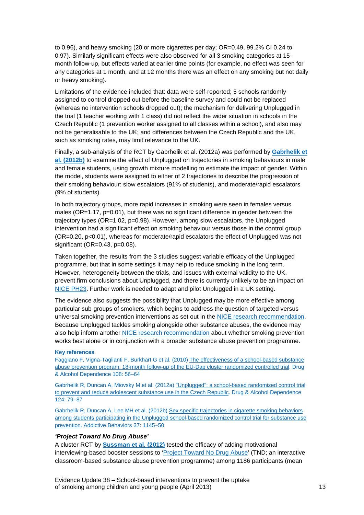to 0.96), and heavy smoking (20 or more cigarettes per day; OR=0.49, 99.2% CI 0.24 to 0.97). Similarly significant effects were also observed for all 3 smoking categories at 15 month follow-up, but effects varied at earlier time points (for example, no effect was seen for any categories at 1 month, and at 12 months there was an effect on any smoking but not daily or heavy smoking).

Limitations of the evidence included that: data were self-reported; 5 schools randomly assigned to control dropped out before the baseline survey and could not be replaced (whereas no intervention schools dropped out); the mechanism for delivering Unplugged in the trial (1 teacher working with 1 class) did not reflect the wider situation in schools in the Czech Republic (1 prevention worker assigned to all classes within a school), and also may not be generalisable to the UK; and differences between the Czech Republic and the UK, such as smoking rates, may limit relevance to the UK.

Finally, a sub-analysis of the RCT by Gabrhelik et al. (2012a) was performed by **[Gabrhelik et](http://www.sciencedirect.com/science/article/pii/S0306460312002250)  [al. \(2012b\)](http://www.sciencedirect.com/science/article/pii/S0306460312002250)** to examine the effect of Unplugged on trajectories in smoking behaviours in male and female students, using growth mixture modelling to estimate the impact of gender. Within the model, students were assigned to either of 2 trajectories to describe the progression of their smoking behaviour: slow escalators (91% of students), and moderate/rapid escalators (9% of students).

In both trajectory groups, more rapid increases in smoking were seen in females versus males ( $OR=1.17$ ,  $p=0.01$ ), but there was no significant difference in gender between the trajectory types (OR=1.02, p=0.98). However, among slow escalators, the Unplugged intervention had a significant effect on smoking behaviour versus those in the control group (OR=0.20, p<0.01), whereas for moderate/rapid escalators the effect of Unplugged was not significant (OR=0.43, p=0.08).

Taken together, the results from the 3 studies suggest variable efficacy of the Unplugged programme, but that in some settings it may help to reduce smoking in the long term. However, heterogeneity between the trials, and issues with external validity to the UK, prevent firm conclusions about Unplugged, and there is currently unlikely to be an impact on [NICE PH23.](http://guidance.nice.org.uk/PH23) Further work is needed to adapt and pilot Unplugged in a UK setting.

The evidence also suggests the possibility that Unplugged may be more effective among particular sub-groups of smokers, which begins to address the question of targeted versus universal smoking prevention interventions as set out in the [NICE research recommendation.](http://www.nice.org.uk/research/index.jsp?action=research&o=2030) Because Unplugged tackles smoking alongside other substance abuses, the evidence may also help inform another [NICE research recommendation](http://www.nice.org.uk/research/index.jsp?action=research&o=2029) about whether smoking prevention works best alone or in conjunction with a broader substance abuse prevention programme.

#### **Key references**

Faggiano F, Vigna-Taglianti F, Burkhart G et al. (2010) [The effectiveness of a school-based substance](http://www.sciencedirect.com/science/article/pii/S0376871609004384)  [abuse prevention program: 18-month follow-up of the EU-Dap cluster randomized controlled trial.](http://www.sciencedirect.com/science/article/pii/S0376871609004384) Drug & Alcohol Dependence 108: 56–64

Gabrhelik R, Duncan A, Miovsky M et al. (2012a[\) "Unplugged": a school-based randomized control trial](http://www.sciencedirect.com/science/article/pii/S0376871611005436)  [to prevent and reduce adolescent substance use in the Czech Republic.](http://www.sciencedirect.com/science/article/pii/S0376871611005436) Drug & Alcohol Dependence 124: 79–87

Gabrhelik R, Duncan A, Lee MH et al. (2012b[\) Sex specific trajectories in cigarette smoking behaviors](http://www.sciencedirect.com/science/article/pii/S0306460312002250)  [among students participating in the Unplugged school-based randomized control trial for substance use](http://www.sciencedirect.com/science/article/pii/S0306460312002250)  [prevention.](http://www.sciencedirect.com/science/article/pii/S0306460312002250) Addictive Behaviors 37: 1145–50

#### *'Project Toward No Drug Abuse'*

A cluster RCT by **[Sussman et al. \(2012\)](http://psycnet.apa.org/journals/hea/31/4/476/)** tested the efficacy of adding motivational interviewing-based booster sessions to ['Project Toward No Drug Abuse'](http://tnd.usc.edu/) (TND; an interactive classroom-based substance abuse prevention programme) among 1186 participants (mean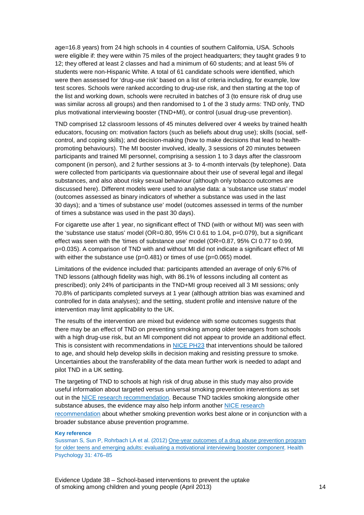age=16.8 years) from 24 high schools in 4 counties of southern California, USA. Schools were eligible if: they were within 75 miles of the project headquarters; they taught grades 9 to 12; they offered at least 2 classes and had a minimum of 60 students; and at least 5% of students were non-Hispanic White. A total of 61 candidate schools were identified, which were then assessed for 'drug-use risk' based on a list of criteria including, for example, low test scores. Schools were ranked according to drug-use risk, and then starting at the top of the list and working down, schools were recruited in batches of 3 (to ensure risk of drug use was similar across all groups) and then randomised to 1 of the 3 study arms: TND only, TND plus motivational interviewing booster (TND+MI), or control (usual drug-use prevention).

TND comprised 12 classroom lessons of 45 minutes delivered over 4 weeks by trained health educators, focusing on: motivation factors (such as beliefs about drug use); skills (social, selfcontrol, and coping skills); and decision-making (how to make decisions that lead to healthpromoting behaviours). The MI booster involved, ideally, 3 sessions of 20 minutes between participants and trained MI personnel, comprising a session 1 to 3 days after the classroom component (in person), and 2 further sessions at 3- to 4-month intervals (by telephone). Data were collected from participants via questionnaire about their use of several legal and illegal substances, and also about risky sexual behaviour (although only tobacco outcomes are discussed here). Different models were used to analyse data: a 'substance use status' model (outcomes assessed as binary indicators of whether a substance was used in the last 30 days); and a 'times of substance use' model (outcomes assessed in terms of the number of times a substance was used in the past 30 days).

For cigarette use after 1 year, no significant effect of TND (with or without MI) was seen with the 'substance use status' model ( $OR=0.80$ ,  $95\%$  CI 0.61 to 1.04,  $p=0.079$ ), but a significant effect was seen with the 'times of substance use' model (OR=0.87, 95% CI 0.77 to 0.99, p=0.035). A comparison of TND with and without MI did not indicate a significant effect of MI with either the substance use (p=0.481) or times of use (p=0.065) model.

Limitations of the evidence included that: participants attended an average of only 67% of TND lessons (although fidelity was high, with 86.1% of lessons including all content as prescribed); only 24% of participants in the TND+MI group received all 3 MI sessions; only 70.8% of participants completed surveys at 1 year (although attrition bias was examined and controlled for in data analyses); and the setting, student profile and intensive nature of the intervention may limit applicability to the UK.

The results of the intervention are mixed but evidence with some outcomes suggests that there may be an effect of TND on preventing smoking among older teenagers from schools with a high drug-use risk, but an MI component did not appear to provide an additional effect. This is consistent with recommendations in [NICE PH23](http://guidance.nice.org.uk/PH23) that interventions should be tailored to age, and should help develop skills in decision making and resisting pressure to smoke. Uncertainties about the transferability of the data mean further work is needed to adapt and pilot TND in a UK setting.

The targeting of TND to schools at high risk of drug abuse in this study may also provide useful information about targeted versus universal smoking prevention interventions as set out in the [NICE research recommendation.](http://www.nice.org.uk/research/index.jsp?action=research&o=2030) Because TND tackles smoking alongside other substance abuses, the evidence may also help inform another [NICE research](http://www.nice.org.uk/research/index.jsp?action=research&o=2029)  [recommendation](http://www.nice.org.uk/research/index.jsp?action=research&o=2029) about whether smoking prevention works best alone or in conjunction with a broader substance abuse prevention programme.

#### **Key reference**

Sussman S, Sun P, Rohrbach LA et al. (2012) [One-year outcomes of a drug abuse prevention program](http://psycnet.apa.org/journals/hea/31/4/476/)  [for older teens and emerging adults: evaluating a motivational interviewing booster component.](http://psycnet.apa.org/journals/hea/31/4/476/) Health Psychology 31: 476–85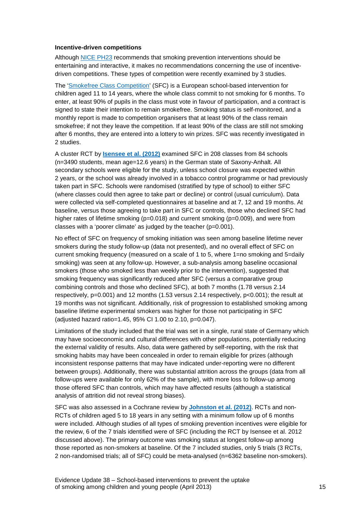#### **Incentive-driven competitions**

Although [NICE PH23](http://guidance.nice.org.uk/PH23) recommends that smoking prevention interventions should be entertaining and interactive, it makes no recommendations concerning the use of incentivedriven competitions. These types of competition were recently examined by 3 studies.

The ['Smokefree Class Competition'](http://www.smokefreeclass.info/) (SFC) is a European school-based intervention for children aged 11 to 14 years, where the whole class commit to not smoking for 6 months. To enter, at least 90% of pupils in the class must vote in favour of participation, and a contract is signed to state their intention to remain smokefree. Smoking status is self-monitored, and a monthly report is made to competition organisers that at least 90% of the class remain smokefree; if not they leave the competition. If at least 90% of the class are still not smoking after 6 months, they are entered into a lottery to win prizes. SFC was recently investigated in 2 studies.

A cluster RCT by **[Isensee et al. \(2012\)](http://jech.bmj.com/content/66/4/334.full)** examined SFC in 208 classes from 84 schools (n=3490 students, mean age=12.6 years) in the German state of Saxony-Anhalt. All secondary schools were eligible for the study, unless school closure was expected within 2 years, or the school was already involved in a tobacco control programme or had previously taken part in SFC. Schools were randomised (stratified by type of school) to either SFC (where classes could then agree to take part or decline) or control (usual curriculum). Data were collected via self-completed questionnaires at baseline and at 7, 12 and 19 months. At baseline, versus those agreeing to take part in SFC or controls, those who declined SFC had higher rates of lifetime smoking (p=0.018) and current smoking (p=0.009), and were from classes with a 'poorer climate' as judged by the teacher (p=0.001).

No effect of SFC on frequency of smoking initiation was seen among baseline lifetime never smokers during the study follow-up (data not presented), and no overall effect of SFC on current smoking frequency (measured on a scale of 1 to 5, where 1=no smoking and 5=daily smoking) was seen at any follow-up. However, a sub-analysis among baseline occasional smokers (those who smoked less than weekly prior to the intervention), suggested that smoking frequency was significantly reduced after SFC (versus a comparative group combining controls and those who declined SFC), at both 7 months (1.78 versus 2.14 respectively, p=0.001) and 12 months (1.53 versus 2.14 respectively, p<0.001); the result at 19 months was not significant. Additionally, risk of progression to established smoking among baseline lifetime experimental smokers was higher for those not participating in SFC (adjusted hazard ratio=1.45, 95% CI 1.00 to 2.10, p=0.047).

Limitations of the study included that the trial was set in a single, rural state of Germany which may have socioeconomic and cultural differences with other populations, potentially reducing the external validity of results. Also, data were gathered by self-reporting, with the risk that smoking habits may have been concealed in order to remain eligible for prizes (although inconsistent response patterns that may have indicated under-reporting were no different between groups). Additionally, there was substantial attrition across the groups (data from all follow-ups were available for only 62% of the sample), with more loss to follow-up among those offered SFC than controls, which may have affected results (although a statistical analysis of attrition did not reveal strong biases).

SFC was also assessed in a Cochrane review by **[Johnston et al. \(2012\)](http://onlinelibrary.wiley.com/doi/10.1002/14651858.CD008645.pub2/full)**. RCTs and non-RCTs of children aged 5 to 18 years in any setting with a minimum follow up of 6 months were included. Although studies of all types of smoking prevention incentives were eligible for the review, 6 of the 7 trials identified were of SFC (including the RCT by Isensee et al. 2012 discussed above). The primary outcome was smoking status at longest follow-up among those reported as non-smokers at baseline. Of the 7 included studies, only 5 trials (3 RCTs, 2 non-randomised trials; all of SFC) could be meta-analysed (n=6362 baseline non-smokers).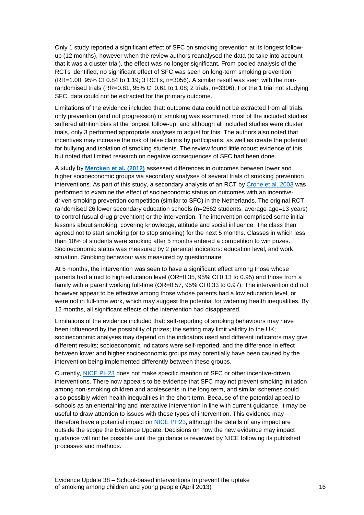Only 1 study reported a significant effect of SFC on smoking prevention at its longest followup (12 months), however when the review authors reanalysed the data (to take into account that it was a cluster trial), the effect was no longer significant. From pooled analysis of the RCTs identified, no significant effect of SFC was seen on long-term smoking prevention  $(RR=1.00, 95\%$  CI 0.84 to 1.19; 3 RCTs, n=3056). A similar result was seen with the nonrandomised trials (RR=0.81, 95% CI 0.61 to 1.08; 2 trials, n=3306). For the 1 trial not studying SFC, data could not be extracted for the primary outcome.

Limitations of the evidence included that: outcome data could not be extracted from all trials; only prevention (and not progression) of smoking was examined; most of the included studies suffered attrition bias at the longest follow-up; and although all included studies were cluster trials, only 3 performed appropriate analyses to adjust for this. The authors also noted that incentives may increase the risk of false claims by participants, as well as create the potential for bullying and isolation of smoking students. The review found little robust evidence of this, but noted that limited research on negative consequences of SFC had been done.

A study by **[Mercken et al. \(2012\)](http://her.oxfordjournals.org/content/27/3/459.short)** assessed differences in outcomes between lower and higher socioeconomic groups via secondary analyses of several trials of smoking prevention interventions. As part of this study, a secondary analysis of an RCT by [Crone et al. 2003](http://jech.bmj.com/content/57/9/675.full) was performed to examine the effect of socioeconomic status on outcomes with an incentivedriven smoking prevention competition (similar to SFC) in the Netherlands. The original RCT randomised 26 lower secondary education schools (n=2562 students, average age=13 years) to control (usual drug prevention) or the intervention. The intervention comprised some initial lessons about smoking, covering knowledge, attitude and social influence. The class then agreed not to start smoking (or to stop smoking) for the next 5 months. Classes in which less than 10% of students were smoking after 5 months entered a competition to win prizes. Socioeconomic status was measured by 2 parental indicators: education level, and work situation. Smoking behaviour was measured by questionnaire.

At 5 months, the intervention was seen to have a significant effect among those whose parents had a mid to high education level (OR=0.35, 95% CI 0.13 to 0.95) and those from a family with a parent working full-time (OR=0.57, 95% CI 0.33 to 0.97). The intervention did not however appear to be effective among those whose parents had a low education level, or were not in full-time work, which may suggest the potential for widening health inequalities. By 12 months, all significant effects of the intervention had disappeared.

Limitations of the evidence included that: self-reporting of smoking behaviours may have been influenced by the possibility of prizes; the setting may limit validity to the UK; socioeconomic analyses may depend on the indicators used and different indicators may give different results; socioeconomic indicators were self-reported; and the difference in effect between lower and higher socioeconomic groups may potentially have been caused by the intervention being implemented differently between these groups.

Currently, [NICE PH23](http://guidance.nice.org.uk/PH23) does not make specific mention of SFC or other incentive-driven interventions. There now appears to be evidence that SFC may not prevent smoking initiation among non-smoking children and adolescents in the long term, and similar schemes could also possibly widen health inequalities in the short term. Because of the potential appeal to schools as an entertaining and interactive intervention in line with current guidance, it may be useful to draw attention to issues with these types of intervention. This evidence may therefore have a potential impact on [NICE PH23,](http://guidance.nice.org.uk/PH23) although the details of any impact are outside the scope the Evidence Update. Decisions on how the new evidence may impact guidance will not be possible until the guidance is reviewed by NICE following its published processes and methods.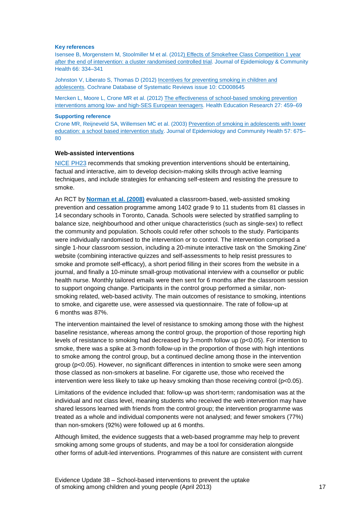#### **Key references**

Isensee B, Morgenstern M, Stoolmiller M et al. (201[2\) Effects of Smokefree Class Competition 1 year](http://jech.bmj.com/content/66/4/334.full)  [after the end of intervention: a cluster randomised controlled trial.](http://jech.bmj.com/content/66/4/334.full) Journal of Epidemiology & Community Health 66: 334–341

Johnston V, Liberato S, Thomas D (2012[\) Incentives for preventing smoking in children and](http://onlinelibrary.wiley.com/doi/10.1002/14651858.CD008645.pub2/full)  [adolescents.](http://onlinelibrary.wiley.com/doi/10.1002/14651858.CD008645.pub2/full) Cochrane Database of Systematic Reviews issue 10: CD008645

Mercken L, Moore L, Crone MR et al. (2012) [The effectiveness of school-based smoking prevention](http://her.oxfordjournals.org/content/27/3/459.short)  interventions among low- [and high-SES European teenagers.](http://her.oxfordjournals.org/content/27/3/459.short) Health Education Research 27: 459–69

#### **Supporting reference**

Crone MR, Reijneveld SA, Willemsen MC et al. (2003[\) Prevention of smoking in adolescents with lower](http://jech.bmj.com/content/57/9/675.full)  [education: a school based intervention study.](http://jech.bmj.com/content/57/9/675.full) Journal of Epidemiology and Community Health 57: 675– 80

#### **Web-assisted interventions**

[NICE PH23](http://guidance.nice.org.uk/PH23) recommends that smoking prevention interventions should be entertaining, factual and interactive, aim to develop decision-making skills through active learning techniques, and include strategies for enhancing self-esteem and resisting the pressure to smoke.

An RCT by **[Norman et al. \(2008\)](http://psycnet.apa.org/journals/hea/27/6/799/)** evaluated a classroom-based, web-assisted smoking prevention and cessation programme among 1402 grade 9 to 11 students from 81 classes in 14 secondary schools in Toronto, Canada. Schools were selected by stratified sampling to balance size, neighbourhood and other unique characteristics (such as single-sex) to reflect the community and population. Schools could refer other schools to the study. Participants were individually randomised to the intervention or to control. The intervention comprised a single 1-hour classroom session, including a 20-minute interactive task on 'the Smoking Zine' website (combining interactive quizzes and self-assessments to help resist pressures to smoke and promote self-efficacy), a short period filling in their scores from the website in a journal, and finally a 10-minute small-group motivational interview with a counsellor or public health nurse. Monthly tailored emails were then sent for 6 months after the classroom session to support ongoing change. Participants in the control group performed a similar, nonsmoking related, web-based activity. The main outcomes of resistance to smoking, intentions to smoke, and cigarette use, were assessed via questionnaire. The rate of follow-up at 6 months was 87%.

The intervention maintained the level of resistance to smoking among those with the highest baseline resistance, whereas among the control group, the proportion of those reporting high levels of resistance to smoking had decreased by 3-month follow up (p<0.05). For intention to smoke, there was a spike at 3-month follow-up in the proportion of those with high intentions to smoke among the control group, but a continued decline among those in the intervention group (p<0.05). However, no significant differences in intention to smoke were seen among those classed as non-smokers at baseline. For cigarette use, those who received the intervention were less likely to take up heavy smoking than those receiving control (p<0.05).

Limitations of the evidence included that: follow-up was short-term; randomisation was at the individual and not class level, meaning students who received the web intervention may have shared lessons learned with friends from the control group; the intervention programme was treated as a whole and individual components were not analysed; and fewer smokers (77%) than non-smokers (92%) were followed up at 6 months.

Although limited, the evidence suggests that a web-based programme may help to prevent smoking among some groups of students, and may be a tool for consideration alongside other forms of adult-led interventions. Programmes of this nature are consistent with current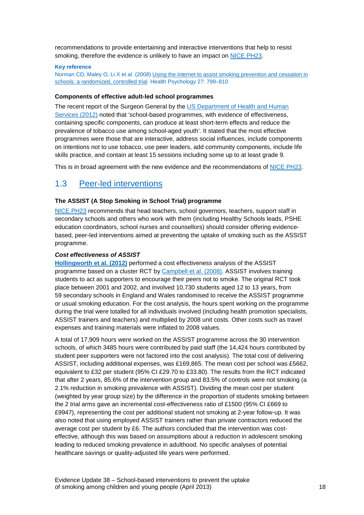recommendations to provide entertaining and interactive interventions that help to resist smoking, therefore the evidence is unlikely to have an impact on [NICE PH23.](http://guidance.nice.org.uk/PH23)

#### **Key reference**

Norman CD, Maley O, Li X et al. (2008[\) Using the internet to assist smoking prevention and cessation in](http://psycnet.apa.org/journals/hea/27/6/799/)  [schools: a randomized, controlled trial.](http://psycnet.apa.org/journals/hea/27/6/799/) Health Psychology 27: 799–810

#### **Components of effective adult-led school programmes**

The recent report of the Surgeon General by the [US Department of Health and Human](http://www.surgeongeneral.gov/library/reports/preventing-youth-tobacco-use/index.html)  [Services \(2012\)](http://www.surgeongeneral.gov/library/reports/preventing-youth-tobacco-use/index.html) noted that 'school-based programmes, with evidence of effectiveness, containing specific components, can produce at least short-term effects and reduce the prevalence of tobacco use among school-aged youth'. It stated that the most effective programmes were those that are interactive, address social influences, include components on intentions not to use tobacco, use peer leaders, add community components, include life skills practice, and contain at least 15 sessions including some up to at least grade 9.

This is in broad agreement with the new evidence and the recommendations of [NICE PH23.](http://guidance.nice.org.uk/PH23)

### <span id="page-17-0"></span>1.3 [Peer-led interventions](http://publications.nice.org.uk/school-based-interventions-to-prevent-smoking-ph23/recommendations#recommendation-3-peer-led-interventions)

#### **The ASSIST (A Stop Smoking in School Trial) programme**

[NICE PH23](http://guidance.nice.org.uk/PH23) recommends that head teachers, school governors, teachers, support staff in secondary schools and others who work with them (including Healthy Schools leads, PSHE education coordinators, school nurses and counsellors) should consider offering evidencebased, peer-led interventions aimed at preventing the uptake of smoking such as the ASSIST programme.

#### *Cost effectiveness of ASSIST*

**[Hollingworth et al. \(2012\)](http://ntr.oxfordjournals.org/content/14/2/161.short)** performed a cost effectiveness analysis of the ASSIST programme based on a cluster RCT by [Campbell et al. \(2008\).](http://www.sciencedirect.com/science/article/pii/S0140673608606923) ASSIST involves training students to act as supporters to encourage their peers not to smoke. The original RCT took place between 2001 and 2002, and involved 10,730 students aged 12 to 13 years, from 59 secondary schools in England and Wales randomised to receive the ASSIST programme or usual smoking education. For the cost analysis, the hours spent working on the programme during the trial were totalled for all individuals involved (including health promotion specialists, ASSIST trainers and teachers) and multiplied by 2008 unit costs. Other costs such as travel expenses and training materials were inflated to 2008 values.

A total of 17,909 hours were worked on the ASSIST programme across the 30 intervention schools, of which 3485 hours were contributed by paid staff (the 14,424 hours contributed by student peer supporters were not factored into the cost analysis). The total cost of delivering ASSIST, including additional expenses, was £169,865. The mean cost per school was £5662, equivalent to £32 per student (95% CI £29.70 to £33.80). The results from the RCT indicated that after 2 years, 85.6% of the intervention group and 83.5% of controls were not smoking (a 2.1% reduction in smoking prevalence with ASSIST). Dividing the mean cost per student (weighted by year group size) by the difference in the proportion of students smoking between the 2 trial arms gave an incremental cost-effectiveness ratio of £1500 (95% CI £669 to £9947), representing the cost per additional student not smoking at 2-year follow-up. It was also noted that using employed ASSIST trainers rather than private contractors reduced the average cost per student by £6. The authors concluded that the intervention was costeffective, although this was based on assumptions about a reduction in adolescent smoking leading to reduced smoking prevalence in adulthood. No specific analyses of potential healthcare savings or quality-adjusted life years were performed.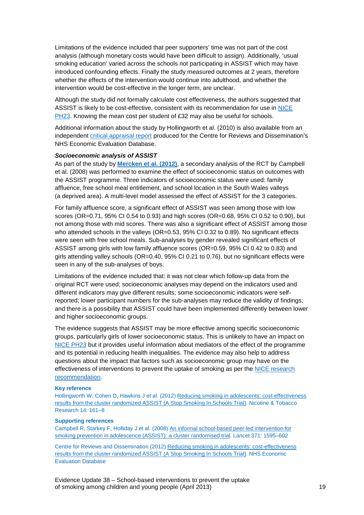Limitations of the evidence included that peer supporters' time was not part of the cost analysis (although monetary costs would have been difficult to assign). Additionally, 'usual smoking education' varied across the schools not participating in ASSIST which may have introduced confounding effects. Finally the study measured outcomes at 2 years, therefore whether the effects of the intervention would continue into adulthood, and whether the intervention would be cost-effective in the longer term, are unclear.

Although the study did not formally calculate cost effectiveness, the authors suggested that ASSIST is likely to be cost-effective, consistent with its recommendation for use in [NICE](http://guidance.nice.org.uk/PH23)  [PH23.](http://guidance.nice.org.uk/PH23) Knowing the mean cost per student of £32 may also be useful for schools.

Additional information about the study by Hollingworth et al. (2010) is also available from an independent [critical appraisal report](http://www.crd.york.ac.uk/CRDWeb/ShowRecord.asp?AccessionNumber=22012005486&UserID=0) produced for the Centre for Reviews and Dissemination's NHS Economic Evaluation Database.

#### *Socioeconomic analysis of ASSIST*

As part of the study by **[Mercken et al. \(2012\)](http://her.oxfordjournals.org/content/27/3/459.short)**, a secondary analysis of the RCT by Campbell et al. (2008) was performed to examine the effect of socioeconomic status on outcomes with the ASSIST programme. Three indicators of socioeconomic status were used: family affluence, free school meal entitlement, and school location in the South Wales valleys (a deprived area). A multi-level model assessed the effect of ASSIST for the 3 categories.

For family affluence score, a significant effect of ASSIST was seen among those with low scores (OR=0.71, 95% CI 0.54 to 0.93) and high scores (OR=0.68, 95% CI 0.52 to 0.90), but not among those with mid scores. There was also a significant effect of ASSIST among those who attended schools in the valleys (OR=0.53, 95% CI 0.32 to 0.89). No significant effects were seen with free school meals. Sub-analyses by gender revealed significant effects of ASSIST among girls with low family affluence scores (OR=0.59, 95% CI 0.42 to 0.83) and girls attending valley schools (OR=0.40, 95% CI 0.21 to 0.76), but no significant effects were seen in any of the sub-analyses of boys.

Limitations of the evidence included that: it was not clear which follow-up data from the original RCT were used; socioeconomic analyses may depend on the indicators used and different indicators may give different results; some socioeconomic indicators were selfreported; lower participant numbers for the sub-analyses may reduce the validity of findings; and there is a possibility that ASSIST could have been implemented differently between lower and higher socioeconomic groups.

The evidence suggests that ASSIST may be more effective among specific socioeconomic groups, particularly girls of lower socioeconomic status. This is unlikely to have an impact on [NICE PH23](http://guidance.nice.org.uk/PH23) but it provides useful information about mediators of the effect of the programme and its potential in reducing health inequalities. The evidence may also help to address questions about the impact that factors such as socioeconomic group may have on the effectiveness of interventions to prevent the uptake of smoking as per the [NICE research](http://www.nice.org.uk/research/index.jsp?action=research&o=2026)  [recommendation.](http://www.nice.org.uk/research/index.jsp?action=research&o=2026)

#### **Key reference**

Hollingworth W, Cohen D, Hawkins J et al. (2012) Reducing smoking in adolescents: cost-effectiveness [results from the cluster randomized ASSIST \(A Stop Smoking In Schools Trial\).](http://ntr.oxfordjournals.org/content/14/2/161.short) Nicotine & Tobacco Research 14: 161–8

#### **Supporting references**

Campbell R, Starkey F, Holliday J et al. (2008[\) An informal school-based peer-led intervention for](http://www.sciencedirect.com/science/article/pii/S0140673608606923)  [smoking prevention in adolescence \(ASSIST\): a cluster randomised trial.](http://www.sciencedirect.com/science/article/pii/S0140673608606923) Lancet 371: 1595–602

Centre for Reviews and Dissemination (2012) [Reducing smoking in adolescents: cost-effectiveness](http://www.crd.york.ac.uk/CRDWeb/ShowRecord.asp?AccessionNumber=22012005486&UserID=0)  [results from the cluster randomized ASSIST \(A Stop Smoking In Schools Trial\).](http://www.crd.york.ac.uk/CRDWeb/ShowRecord.asp?AccessionNumber=22012005486&UserID=0) NHS Economic Evaluation Database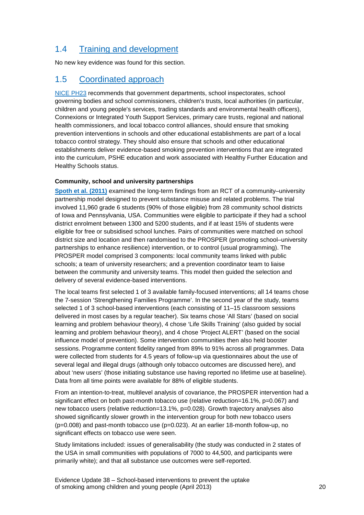## <span id="page-19-0"></span>1.4 [Training and development](http://publications.nice.org.uk/school-based-interventions-to-prevent-smoking-ph23/recommendations#recommendation-4-training-and-development)

No new key evidence was found for this section.

### <span id="page-19-1"></span>1.5 [Coordinated approach](http://publications.nice.org.uk/school-based-interventions-to-prevent-smoking-ph23/recommendations#recommendation-5-coordinated-approach)

[NICE PH23](http://guidance.nice.org.uk/PH23) recommends that government departments, school inspectorates, school governing bodies and school commissioners, children's trusts, local authorities (in particular, children and young people's services, trading standards and environmental health officers), Connexions or Integrated Youth Support Services, primary care trusts, regional and national health commissioners, and local tobacco control alliances, should ensure that smoking prevention interventions in schools and other educational establishments are part of a local tobacco control strategy. They should also ensure that schools and other educational establishments deliver evidence-based smoking prevention interventions that are integrated into the curriculum, PSHE education and work associated with Healthy Further Education and Healthy Schools status.

#### **Community, school and university partnerships**

**[Spoth et al. \(2011\)](http://www.ajpmonline.org/article/S0749-3797(11)00002-X/abstract)** examined the long-term findings from an RCT of a community–university partnership model designed to prevent substance misuse and related problems. The trial involved 11,960 grade 6 students (90% of those eligible) from 28 community school districts of Iowa and Pennsylvania, USA. Communities were eligible to participate if they had a school district enrolment between 1300 and 5200 students, and if at least 15% of students were eligible for free or subsidised school lunches. Pairs of communities were matched on school district size and location and then randomised to the PROSPER (promoting school–university partnerships to enhance resilience) intervention, or to control (usual programming). The PROSPER model comprised 3 components: local community teams linked with public schools; a team of university researchers; and a prevention coordinator team to liaise between the community and university teams. This model then guided the selection and delivery of several evidence-based interventions.

The local teams first selected 1 of 3 available family-focused interventions; all 14 teams chose the 7-session 'Strengthening Families Programme'. In the second year of the study, teams selected 1 of 3 school-based interventions (each consisting of 11–15 classroom sessions delivered in most cases by a regular teacher). Six teams chose 'All Stars' (based on social learning and problem behaviour theory), 4 chose 'Life Skills Training' (also guided by social learning and problem behaviour theory), and 4 chose 'Project ALERT' (based on the social influence model of prevention). Some intervention communities then also held booster sessions. Programme content fidelity ranged from 89% to 91% across all programmes. Data were collected from students for 4.5 years of follow-up via questionnaires about the use of several legal and illegal drugs (although only tobacco outcomes are discussed here), and about 'new users' (those initiating substance use having reported no lifetime use at baseline). Data from all time points were available for 88% of eligible students.

From an intention-to-treat, multilevel analysis of covariance, the PROSPER intervention had a significant effect on both past-month tobacco use (relative reduction=16.1%, p=0.067) and new tobacco users (relative reduction=13.1%, p=0.028). Growth trajectory analyses also showed significantly slower growth in the intervention group for both new tobacco users  $(p=0.008)$  and past-month tobacco use  $(p=0.023)$ . At an earlier 18-month follow-up, no significant effects on tobacco use were seen.

Study limitations included: issues of generalisability (the study was conducted in 2 states of the USA in small communities with populations of 7000 to 44,500, and participants were primarily white); and that all substance use outcomes were self-reported.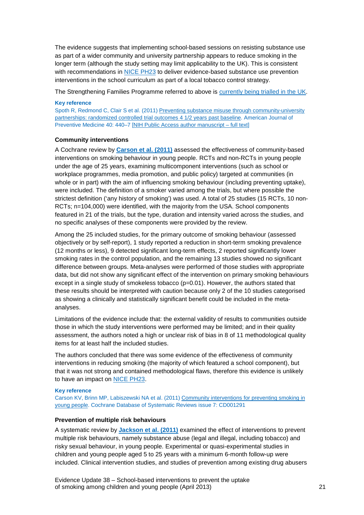The evidence suggests that implementing school-based sessions on resisting substance use as part of a wider community and university partnership appears to reduce smoking in the longer term (although the study setting may limit applicability to the UK). This is consistent with recommendations in [NICE PH23](http://guidance.nice.org.uk/PH23) to deliver evidence-based substance use prevention interventions in the school curriculum as part of a local tobacco control strategy.

The Strengthening Families Programme referred to above is [currently being trialled in the UK.](http://www.controlled-trials.com/ISRCTN63550893)

#### **Key reference**

Spoth R, Redmond C, Clair S et al. (2011) Preventing substance misuse through community-university [partnerships: randomized controlled trial outcomes 4 1/2 years past baseline.](http://www.ajpmonline.org/article/S0749-3797(11)00002-X/abstract) American Journal of Preventive Medicine 40: 440–7 [\[NIH Public Access author manuscript –](http://www.ncbi.nlm.nih.gov/pmc/articles/PMC3439841/) full text]

#### **Community interventions**

A Cochrane review by **[Carson et al. \(2011\)](http://onlinelibrary.wiley.com/doi/10.1002/14651858.CD001291.pub2/abstract)** assessed the effectiveness of community-based interventions on smoking behaviour in young people. RCTs and non-RCTs in young people under the age of 25 years, examining multicomponent interventions (such as school or workplace programmes, media promotion, and public policy) targeted at communities (in whole or in part) with the aim of influencing smoking behaviour (including preventing uptake), were included. The definition of a smoker varied among the trials, but where possible the strictest definition ('any history of smoking') was used. A total of 25 studies (15 RCTs, 10 non-RCTs; n=104,000) were identified, with the majority from the USA. School components featured in 21 of the trials, but the type, duration and intensity varied across the studies, and no specific analyses of these components were provided by the review.

Among the 25 included studies, for the primary outcome of smoking behaviour (assessed objectively or by self-report), 1 study reported a reduction in short-term smoking prevalence (12 months or less), 9 detected significant long-term effects, 2 reported significantly lower smoking rates in the control population, and the remaining 13 studies showed no significant difference between groups. Meta-analyses were performed of those studies with appropriate data, but did not show any significant effect of the intervention on primary smoking behaviours except in a single study of smokeless tobacco  $(p=0.01)$ . However, the authors stated that these results should be interpreted with caution because only 2 of the 10 studies categorised as showing a clinically and statistically significant benefit could be included in the metaanalyses.

Limitations of the evidence include that: the external validity of results to communities outside those in which the study interventions were performed may be limited; and in their quality assessment, the authors noted a high or unclear risk of bias in 8 of 11 methodological quality items for at least half the included studies.

The authors concluded that there was some evidence of the effectiveness of community interventions in reducing smoking (the majority of which featured a school component), but that it was not strong and contained methodological flaws, therefore this evidence is unlikely to have an impact on [NICE PH23.](http://guidance.nice.org.uk/PH23)

#### **Key reference**

Carson KV, Brinn MP, Labiszewski NA et al. (2011) [Community interventions for preventing smoking in](http://onlinelibrary.wiley.com/doi/10.1002/14651858.CD001291.pub2/abstract)  [young people.](http://onlinelibrary.wiley.com/doi/10.1002/14651858.CD001291.pub2/abstract) Cochrane Database of Systematic Reviews issue 7: CD001291

#### **Prevention of multiple risk behaviours**

A systematic review by **[Jackson et al. \(2011\)](http://onlinelibrary.wiley.com/doi/10.1111/j.1360-0443.2011.03751.x/abstract)** examined the effect of interventions to prevent multiple risk behaviours, namely substance abuse (legal and illegal, including tobacco) and risky sexual behaviour, in young people. Experimental or quasi-experimental studies in children and young people aged 5 to 25 years with a minimum 6-month follow-up were included. Clinical intervention studies, and studies of prevention among existing drug abusers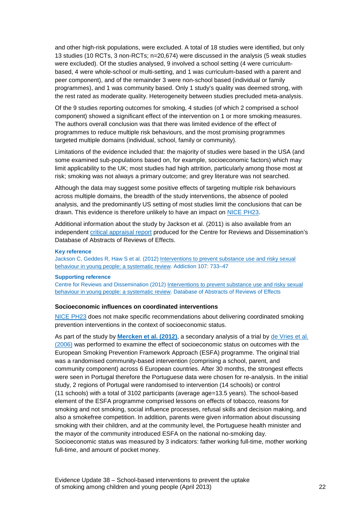and other high-risk populations, were excluded. A total of 18 studies were identified, but only 13 studies (10 RCTs, 3 non-RCTs; n=20,674) were discussed in the analysis (5 weak studies were excluded). Of the studies analysed, 9 involved a school setting (4 were curriculumbased, 4 were whole-school or multi-setting, and 1 was curriculum-based with a parent and peer component), and of the remainder 3 were non-school based (individual or family programmes), and 1 was community based. Only 1 study's quality was deemed strong, with the rest rated as moderate quality. Heterogeneity between studies precluded meta-analysis.

Of the 9 studies reporting outcomes for smoking, 4 studies (of which 2 comprised a school component) showed a significant effect of the intervention on 1 or more smoking measures. The authors overall conclusion was that there was limited evidence of the effect of programmes to reduce multiple risk behaviours, and the most promising programmes targeted multiple domains (individual, school, family or community).

Limitations of the evidence included that: the majority of studies were based in the USA (and some examined sub-populations based on, for example, socioeconomic factors) which may limit applicability to the UK; most studies had high attrition, particularly among those most at risk; smoking was not always a primary outcome; and grey literature was not searched.

Although the data may suggest some positive effects of targeting multiple risk behaviours across multiple domains, the breadth of the study interventions, the absence of pooled analysis, and the predominantly US setting of most studies limit the conclusions that can be drawn. This evidence is therefore unlikely to have an impact on [NICE PH23.](http://guidance.nice.org.uk/PH23)

Additional information about the study by Jackson et al. (2011) is also available from an independent [critical appraisal report](http://www.crd.york.ac.uk/CRDWeb/ShowRecord.asp?AccessionNumber=12012015654&UserID=0) produced for the Centre for Reviews and Dissemination's Database of Abstracts of Reviews of Effects.

#### **Key reference**

Jackson C, Geddes R, Haw S et al. (2012) [Interventions to prevent substance use and risky sexual](http://onlinelibrary.wiley.com/doi/10.1111/j.1360-0443.2011.03751.x/abstract)  [behaviour in young people: a systematic review.](http://onlinelibrary.wiley.com/doi/10.1111/j.1360-0443.2011.03751.x/abstract) Addiction 107: 733–47

#### **Supporting reference**

Centre for Reviews and Dissemination (2012) Interventions to prevent substance use and risky sexual [behaviour in young people: a systematic review.](http://www.crd.york.ac.uk/CRDWeb/ShowRecord.asp?AccessionNumber=12012015654&UserID=0) Database of Abstracts of Reviews of Effects

#### **Socioeconomic influences on coordinated interventions**

[NICE PH23](http://guidance.nice.org.uk/PH23) does not make specific recommendations about delivering coordinated smoking prevention interventions in the context of socioeconomic status.

As part of the study by **[Mercken et](http://her.oxfordjournals.org/content/27/3/459.short) al. (2012)**, a secondary analysis of a trial by [de Vries et al.](http://her.oxfordjournals.org/content/21/1/116.full)  [\(2006\)](http://her.oxfordjournals.org/content/21/1/116.full) was performed to examine the effect of socioeconomic status on outcomes with the European Smoking Prevention Framework Approach (ESFA) programme. The original trial was a randomised community-based intervention (comprising a school, parent, and community component) across 6 European countries. After 30 months, the strongest effects were seen in Portugal therefore the Portuguese data were chosen for re-analysis. In the initial study, 2 regions of Portugal were randomised to intervention (14 schools) or control (11 schools) with a total of 3102 participants (average age=13.5 years). The school-based element of the ESFA programme comprised lessons on effects of tobacco, reasons for smoking and not smoking, social influence processes, refusal skills and decision making, and also a smokefree competition. In addition, parents were given information about discussing smoking with their children, and at the community level, the Portuguese health minister and the mayor of the community introduced ESFA on the national no-smoking day. Socioeconomic status was measured by 3 indicators: father working full-time, mother working full-time, and amount of pocket money.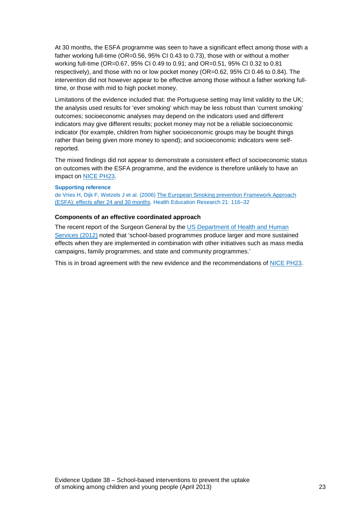At 30 months, the ESFA programme was seen to have a significant effect among those with a father working full-time (OR=0.56, 95% CI 0.43 to 0.73), those with or without a mother working full-time (OR=0.67, 95% CI 0.49 to 0.91; and OR=0.51, 95% CI 0.32 to 0.81 respectively), and those with no or low pocket money (OR=0.62, 95% CI 0.46 to 0.84). The intervention did not however appear to be effective among those without a father working fulltime, or those with mid to high pocket money.

Limitations of the evidence included that: the Portuguese setting may limit validity to the UK; the analysis used results for 'ever smoking' which may be less robust than 'current smoking' outcomes; socioeconomic analyses may depend on the indicators used and different indicators may give different results; pocket money may not be a reliable socioeconomic indicator (for example, children from higher socioeconomic groups may be bought things rather than being given more money to spend); and socioeconomic indicators were selfreported.

The mixed findings did not appear to demonstrate a consistent effect of socioeconomic status on outcomes with the ESFA programme, and the evidence is therefore unlikely to have an impact on [NICE PH23.](http://guidance.nice.org.uk/PH23)

#### **Supporting reference**

de Vries H, Dijk F, Wetzels J et al. (2006) [The European Smoking prevention Framework Approach](http://her.oxfordjournals.org/content/21/1/116.full)  [\(ESFA\): effects after 24 and 30 months.](http://her.oxfordjournals.org/content/21/1/116.full) Health Education Research 21: 116–32

#### **Components of an effective coordinated approach**

The recent report of the Surgeon General by the [US Department of Health and Human](http://www.surgeongeneral.gov/library/reports/preventing-youth-tobacco-use/index.html)  [Services \(2012\)](http://www.surgeongeneral.gov/library/reports/preventing-youth-tobacco-use/index.html) noted that 'school-based programmes produce larger and more sustained effects when they are implemented in combination with other initiatives such as mass media campaigns, family programmes, and state and community programmes.'

This is in broad agreement with the new evidence and the recommendations of [NICE PH23.](http://guidance.nice.org.uk/PH23)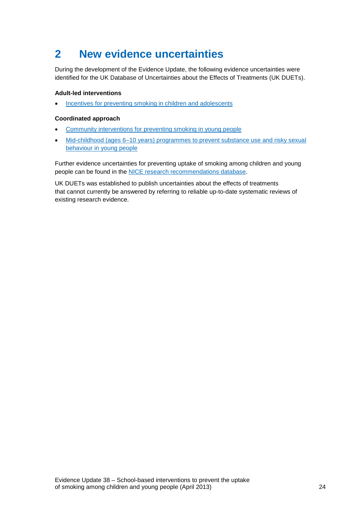# <span id="page-23-0"></span>**2 New evidence uncertainties**

During the development of the Evidence Update, the following evidence uncertainties were identified for the UK Database of Uncertainties about the Effects of Treatments (UK DUETs).

#### **Adult-led interventions**

• [Incentives for preventing smoking in children](http://www.library.nhs.uk/duets/ViewResource.aspx?resID=413237&tabID=297) and adolescents

#### **Coordinated approach**

- [Community interventions for preventing smoking in young people](http://www.library.nhs.uk/duets/ViewResource.aspx?resID=414137&tabID=297&catID=15192)
- Mid-childhood (ages 6–10 years) programmes to prevent substance use and risky sexual [behaviour in young people](http://www.library.nhs.uk/duets/ViewResource.aspx?resID=414138&tabID=297&catID=15192)

Further evidence uncertainties for preventing uptake of smoking among children and young people can be found in the [NICE research recommendations database.](http://www.nice.org.uk/research/index.jsp?action=rr)

UK DUETs was established to publish uncertainties about the effects of treatments that cannot currently be answered by referring to reliable up-to-date systematic reviews of existing research evidence.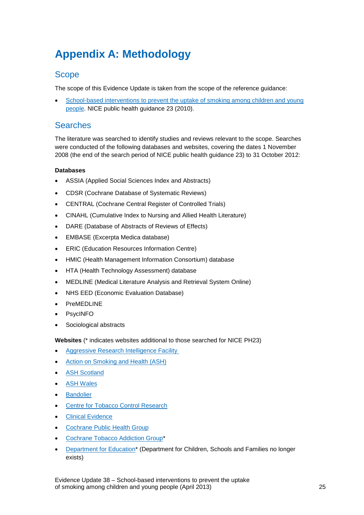# <span id="page-24-0"></span>**Appendix A: Methodology**

### **Scope**

The scope of this Evidence Update is taken from the scope of the reference guidance:

• [School-based interventions to prevent the uptake of smoking among children and young](http://guidance.nice.org.uk/PH23)  [people.](http://guidance.nice.org.uk/PH23) NICE public health guidance 23 (2010).

### Searches

The literature was searched to identify studies and reviews relevant to the scope. Searches were conducted of the following databases and websites, covering the dates 1 November 2008 (the end of the search period of NICE public health guidance 23) to 31 October 2012:

#### **Databases**

- ASSIA (Applied Social Sciences Index and Abstracts)
- CDSR (Cochrane Database of Systematic Reviews)
- CENTRAL (Cochrane Central Register of Controlled Trials)
- CINAHL (Cumulative Index to Nursing and Allied Health Literature)
- DARE (Database of Abstracts of Reviews of Effects)
- EMBASE (Excerpta Medica database)
- ERIC (Education Resources Information Centre)
- HMIC (Health Management Information Consortium) database
- HTA (Health Technology Assessment) database
- MEDLINE (Medical Literature Analysis and Retrieval System Online)
- NHS EED (Economic Evaluation Database)
- PreMEDLINE
- PsycINFO
- Sociological abstracts

**Websites** (\* indicates websites additional to those searched for NICE PH23)

- Aggressive Research Intelligence Facility
- [Action on Smoking and Health \(ASH\)](http://www.ash.org.uk/)
- [ASH Scotland](http://www.ashscotland.org.uk/)
- [ASH Wales](http://www.ashwales.org.uk/)
- [Bandolier](http://www.medicine.ox.ac.uk/bandolier/index.html)
- **[Centre for Tobacco Control Research](http://www.stir.ac.uk/management/research/centre-for-tobacco-control-research/)**
- [Clinical Evidence](http://clinicalevidence.bmj.com/ceweb/conditions/index.jsp)
- [Cochrane Public Health Group](http://www.ph.cochrane.org/en/index.html)
- [Cochrane Tobacco Addiction Group\\*](http://tobacco.cochrane.org/)
- [Department for Education\\*](http://www.education.gov.uk/) (Department for Children, Schools and Families no longer exists)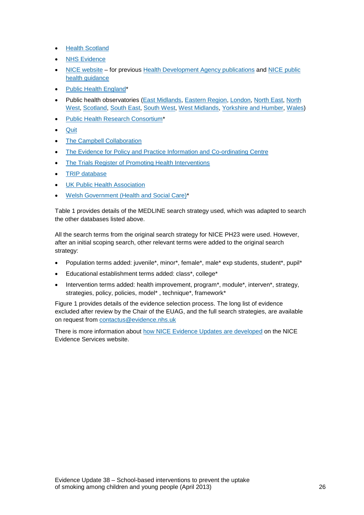- [Health Scotland](http://www.healthscotland.com/)
- [NHS Evidence](http://www.evidence.nhs.uk/)
- [NICE website](http://www.nice.org.uk/) for previous [Health Development Agency publications](http://www.nice.org.uk/aboutnice/whoweare/aboutthehda/hdapublications/hda_publications.jsp) and NICE public [health guidance](http://www.nice.org.uk/guidance/index.jsp?action=byType&type=5)
- [Public Health England\\*](http://www.dh.gov.uk/health/tag/public-health-england/)
- Public health observatories [\(East Midlands,](http://www.empho.org.uk/) [Eastern Region,](http://www.erpho.org.uk/) [London,](http://www.lho.org.uk/) [North East,](http://www.nepho.org.uk/) [North](http://www.nwph.net/nwpho/)  [West,](http://www.nwph.net/nwpho/) [Scotland,](http://www.scotpho.org.uk/) [South East,](http://www.sepho.org.uk/) [South West,](http://www.swpho.nhs.uk/) [West Midlands,](http://www.wmpho.org.uk/) [Yorkshire and Humber,](http://www.yhpho.org.uk/) [Wales\)](http://www.wales.nhs.uk/sitesplus/922/home)
- [Public Health Research Consortium\\*](http://phrc.lshtm.ac.uk/)
- [Quit](http://www.quit.org.uk/)
- [The Campbell Collaboration](http://www.campbellcollaboration.org/)
- [The Evidence for Policy and Practice Information and](http://eppi.ioe.ac.uk/cms) Co-ordinating Centre
- [The Trials Register of Promoting Health Interventions](http://eppi.ioe.ac.uk/webdatabases/Intro.aspx?ID=5)
- [TRIP database](http://www.tripdatabase.com/index.html)
- [UK Public Health Association](http://www.ukpha.org.uk/)
- [Welsh Government \(Health and Social Care\)\\*](http://wales.gov.uk/topics/health/?lang=en)

Table 1 provides details of the MEDLINE search strategy used, which was adapted to search the other databases listed above.

All the search terms from the original search strategy for NICE PH23 were used. However, after an initial scoping search, other relevant terms were added to the original search strategy:

- Population terms added: juvenile\*, minor\*, female\*, male\* exp students, student\*, pupil\*
- Educational establishment terms added: class\*, college\*
- Intervention terms added: health improvement, program\*, module\*, interven\*, strategy, strategies, policy, policies, model\*, technique\*, framework\*

Figure 1 provides details of the evidence selection process. The long list of evidence excluded after review by the Chair of the EUAG, and the full search strategies, are available on request from [contactus@evidence.nhs.uk](mailto:contactus@evidence.nhs.uk)

There is more information about [how NICE Evidence Updates are developed](https://www.evidence.nhs.uk/nhs-evidence-content/evidence-updates/evidence-updates-process) on the NICE Evidence Services website.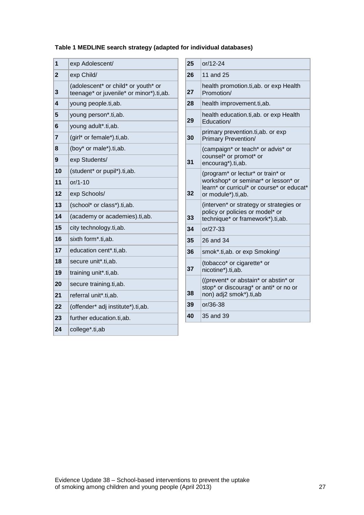#### **Table 1 MEDLINE search strategy (adapted for individual databases)**

| 1            | exp Adolescent/                                                                | 25 | or/12-24                          |
|--------------|--------------------------------------------------------------------------------|----|-----------------------------------|
| $\mathbf{2}$ | exp Child/                                                                     | 26 | 11 and $2$                        |
| 3            | (adolescent* or child* or youth* or<br>teenage* or juvenile* or minor*).ti,ab. | 27 | health pr<br>Promotio             |
| 4            | young people.ti, ab.                                                           | 28 | health im                         |
| 5            | young person*.ti,ab.                                                           | 29 | health ed                         |
| 6            | young adult*.ti, ab.                                                           |    | Educatio                          |
| 7            | (girl* or female*).ti,ab.                                                      | 30 | primary p<br><b>Primary I</b>     |
| 8            | (boy* or male*).ti,ab.                                                         |    | (campaig                          |
| 9            | exp Students/                                                                  | 31 | counsel*<br>encourag              |
| 10           | (student* or pupil*).ti,ab.                                                    |    | (program                          |
| 11           | $or/1-10$                                                                      |    | workshop                          |
| 12           | exp Schools/                                                                   | 32 | learn <sup>*</sup> or<br>or modul |
| 13           | (school* or class*).ti,ab.                                                     |    | (interven)                        |
| 14           | (academy or academies).ti,ab.                                                  | 33 | policy or<br>technique            |
| 15           | city technology.ti, ab.                                                        | 34 | $or/27-33$                        |
| 16           | sixth form*.ti,ab.                                                             | 35 | 26 and 3                          |
| 17           | education cent*.ti,ab.                                                         | 36 | smok*.ti,                         |
| 18           | secure unit*.ti,ab.                                                            |    | (tobacco)                         |
| 19           | training unit*.ti,ab.                                                          | 37 | nicotine*)                        |
| 20           | secure training.ti, ab.                                                        |    | ((prevent<br>stop* or o           |
| 21           | referral unit*.ti,ab.                                                          | 38 | non) adj2                         |
| 22           | (offender* adj institute*).ti,ab.                                              | 39 | $or/36-38$                        |
| 23           | further education.ti,ab.                                                       | 40 | 35 and 3                          |
| 24           | college*.ti,ab                                                                 |    |                                   |

| 25 | or/12-24                                                                                                                                    |
|----|---------------------------------------------------------------------------------------------------------------------------------------------|
| 26 | 11 and 25                                                                                                                                   |
| 27 | health promotion.ti, ab. or exp Health<br>Promotion/                                                                                        |
| 28 | health improvement.ti,ab.                                                                                                                   |
| 29 | health education.ti, ab. or exp Health<br>Education/                                                                                        |
| 30 | primary prevention.ti, ab. or exp<br><b>Primary Prevention/</b>                                                                             |
| 31 | (campaign* or teach* or advis* or<br>counsel* or promot* or<br>encourag*).ti,ab.                                                            |
| 32 | (program* or lectur* or train* or<br>workshop* or seminar* or lesson* or<br>learn* or curricul* or course* or educat*<br>or module*).ti,ab. |
| 33 | (interven* or strategy or strategies or<br>policy or policies or model* or<br>technique* or framework*).ti,ab.                              |
| 34 | $or/27-33$                                                                                                                                  |
| 35 | 26 and 34                                                                                                                                   |
| 36 | smok*.ti,ab. or exp Smoking/                                                                                                                |
| 37 | (tobacco* or cigarette* or<br>nicotine*).ti,ab.                                                                                             |
| 38 | ((prevent* or abstain* or abstin* or<br>stop* or discourag* or anti* or no or<br>non) adj2 smok*).ti,ab                                     |
| 39 | $or/36-38$                                                                                                                                  |
| 40 | 35 and 39                                                                                                                                   |
|    |                                                                                                                                             |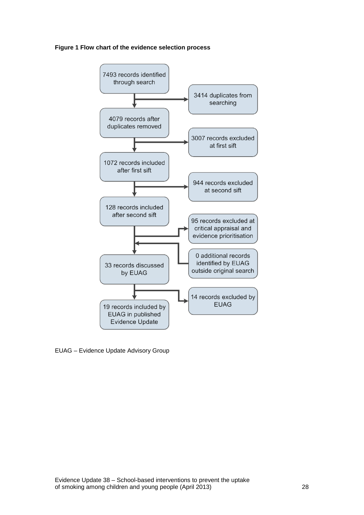#### **Figure 1 Flow chart of the evidence selection process**



EUAG – Evidence Update Advisory Group